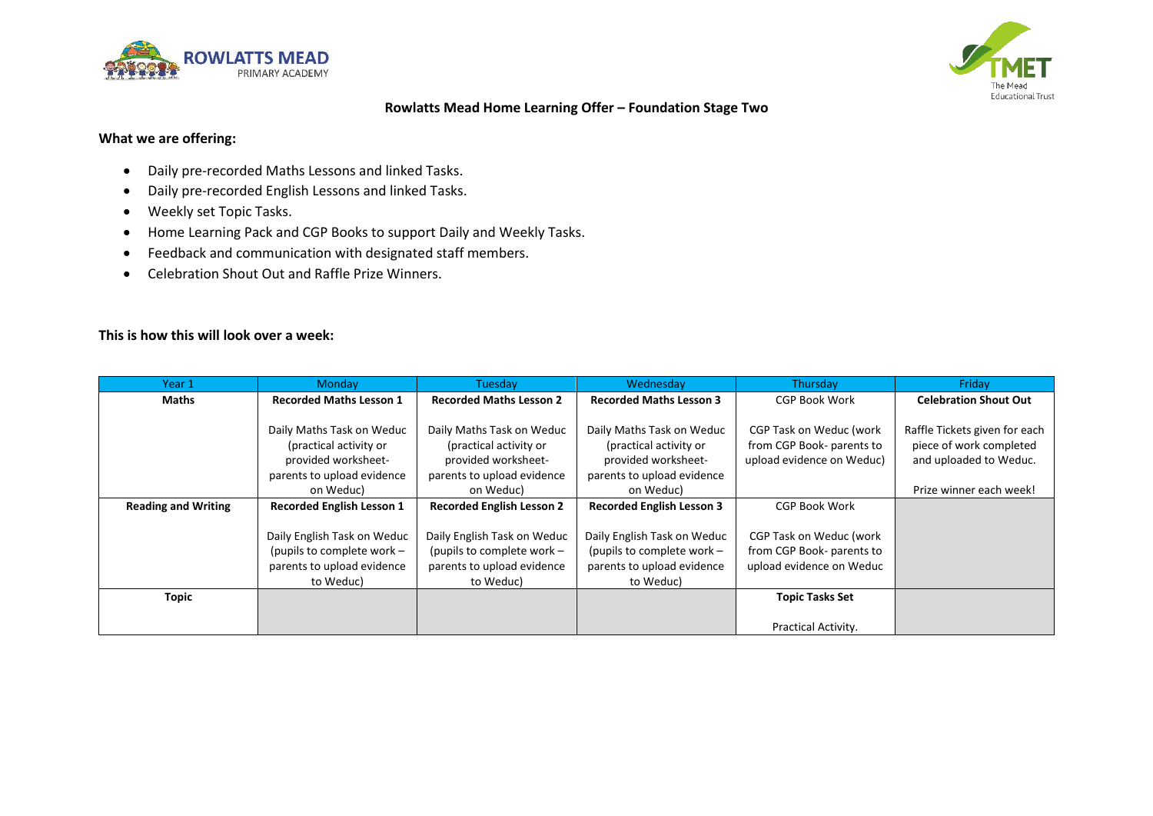



# **Rowlatts Mead Home Learning Offer – Foundation Stage Two**

## **What we are offering:**

- Daily pre-recorded Maths Lessons and linked Tasks.
- Daily pre-recorded English Lessons and linked Tasks.
- Weekly set Topic Tasks.
- Home Learning Pack and CGP Books to support Daily and Weekly Tasks.
- Feedback and communication with designated staff members.
- Celebration Shout Out and Raffle Prize Winners.

## **This is how this will look over a week:**

| Year 1                     | <b>Monday</b>                    | Tuesday                          | Wednesday                        | Thursday                  | Friday                        |
|----------------------------|----------------------------------|----------------------------------|----------------------------------|---------------------------|-------------------------------|
| Maths                      | <b>Recorded Maths Lesson 1</b>   | <b>Recorded Maths Lesson 2</b>   | <b>Recorded Maths Lesson 3</b>   | <b>CGP Book Work</b>      | <b>Celebration Shout Out</b>  |
|                            |                                  |                                  |                                  |                           |                               |
|                            | Daily Maths Task on Weduc        | Daily Maths Task on Weduc        | Daily Maths Task on Weduc        | CGP Task on Weduc (work   | Raffle Tickets given for each |
|                            | (practical activity or           | (practical activity or           | (practical activity or           | from CGP Book- parents to | piece of work completed       |
|                            | provided worksheet-              | provided worksheet-              | provided worksheet-              | upload evidence on Weduc) | and uploaded to Weduc.        |
|                            | parents to upload evidence       | parents to upload evidence       | parents to upload evidence       |                           |                               |
|                            | on Weduc)                        | on Weduc)                        | on Weduc)                        |                           | Prize winner each week!       |
| <b>Reading and Writing</b> | <b>Recorded English Lesson 1</b> | <b>Recorded English Lesson 2</b> | <b>Recorded English Lesson 3</b> | <b>CGP Book Work</b>      |                               |
|                            |                                  |                                  |                                  |                           |                               |
|                            | Daily English Task on Weduc      | Daily English Task on Weduc      | Daily English Task on Weduc      | CGP Task on Weduc (work   |                               |
|                            | (pupils to complete work $-$     | (pupils to complete work $-$     | (pupils to complete work -       | from CGP Book- parents to |                               |
|                            | parents to upload evidence       | parents to upload evidence       | parents to upload evidence       | upload evidence on Weduc  |                               |
|                            | to Weduc)                        | to Weduc)                        | to Weduc)                        |                           |                               |
| <b>Topic</b>               |                                  |                                  |                                  | <b>Topic Tasks Set</b>    |                               |
|                            |                                  |                                  |                                  |                           |                               |
|                            |                                  |                                  |                                  | Practical Activity.       |                               |